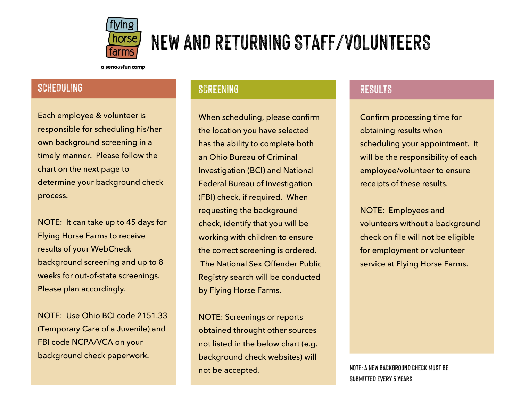

# NEW AND RETURNING STAFF/VOLUNTEERS

a seriousfun camp

### SCHEDULING

Each employee & volunteer is responsible for scheduling his/her own background screening in a timely manner. Please follow the chart on the next page to determine your background check process.

NOTE: It can take up to 45 days for Flying Horse Farms to receive results of your WebCheck background screening and up to 8 weeks for out-of-state screenings. Please plan accordingly.

NOTE: Use Ohio BCI code 2151.33 (Temporary Care of a Juvenile) and FBI code NCPA/VCA on your background check paperwork.

#### SCREENING

When scheduling, please confirm the location you have selected has the ability to complete both an Ohio Bureau of Criminal Investigation (BCI) and National Federal Bureau of Investigation (FBI) check, if required. When requesting the background check, identify that you will be working with children to ensure the correct screening is ordered. The National Sex Offender Public Registry search will be conducted by Flying Horse Farms.

NOTE: Screenings or reports obtained throught other sources not listed in the below chart (e.g. background check websites) will not be accepted.

#### RESULTS

Confirm processing time for obtaining results when scheduling your appointment. It will be the responsibility of each employee/volunteer to ensure receipts of these results.

NOTE: Employees and volunteers without a background check on file will not be eligible for employment or volunteer service at Flying Horse Farms.

NOTE: A NEW BACKGROUND CHECK MUST BE SUBMITTED EVERY 5 YEARS.